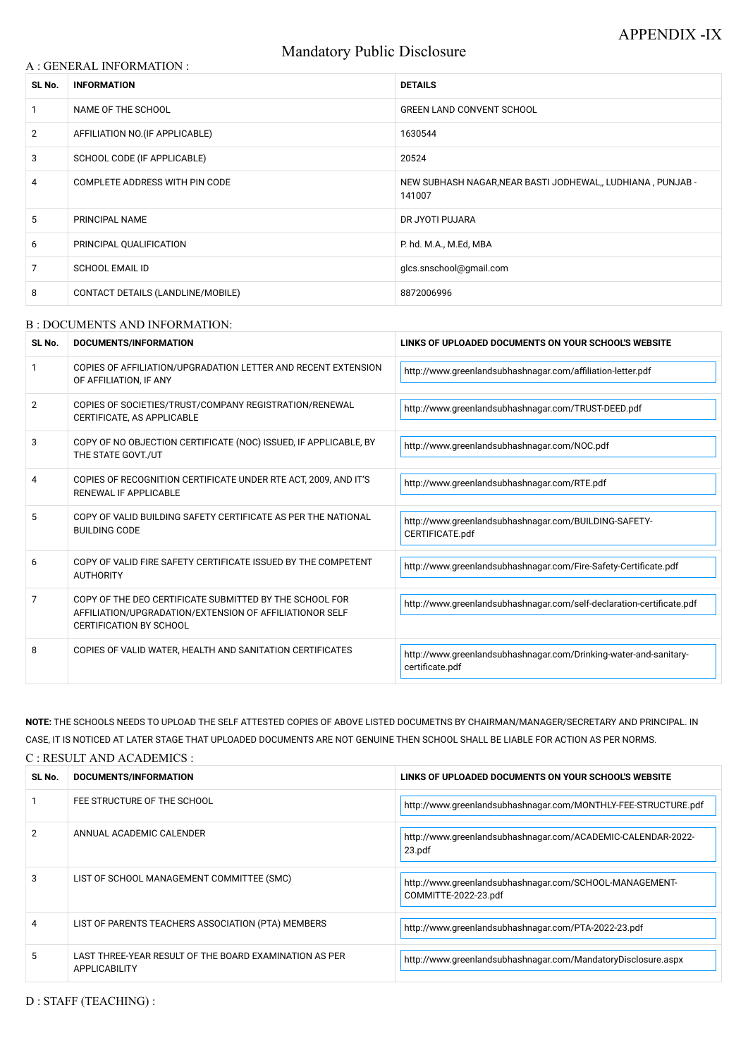# Mandatory Public Disclosure

### A : GENERAL INFORMATION :

| SL No.         | <b>INFORMATION</b>                | <b>DETAILS</b>                                                        |  |
|----------------|-----------------------------------|-----------------------------------------------------------------------|--|
|                | NAME OF THE SCHOOL                | <b>GREEN LAND CONVENT SCHOOL</b>                                      |  |
| $\overline{2}$ | AFFILIATION NO. (IF APPLICABLE)   | 1630544                                                               |  |
| 3              | SCHOOL CODE (IF APPLICABLE)       | 20524                                                                 |  |
| 4              | COMPLETE ADDRESS WITH PIN CODE    | NEW SUBHASH NAGAR, NEAR BASTI JODHEWAL,, LUDHIANA, PUNJAB -<br>141007 |  |
| 5              | PRINCIPAL NAME                    | DR JYOTI PUJARA                                                       |  |
| 6              | PRINCIPAL QUALIFICATION           | P. hd. M.A., M.Ed, MBA                                                |  |
| 7              | <b>SCHOOL EMAIL ID</b>            | glcs.snschool@gmail.com                                               |  |
| 8              | CONTACT DETAILS (LANDLINE/MOBILE) | 8872006996                                                            |  |

#### B : DOCUMENTS AND INFORMATION:

| SL No.        | <b>DOCUMENTS/INFORMATION</b>                                                                                                                         | LINKS OF UPLOADED DOCUMENTS ON YOUR SCHOOL'S WEBSITE                                 |  |
|---------------|------------------------------------------------------------------------------------------------------------------------------------------------------|--------------------------------------------------------------------------------------|--|
|               | COPIES OF AFFILIATION/UPGRADATION LETTER AND RECENT EXTENSION<br>OF AFFILIATION, IF ANY                                                              | http://www.greenlandsubhashnagar.com/affiliation-letter.pdf                          |  |
| $\mathcal{P}$ | COPIES OF SOCIETIES/TRUST/COMPANY REGISTRATION/RENEWAL<br>CERTIFICATE, AS APPLICABLE                                                                 | http://www.greenlandsubhashnagar.com/TRUST-DEED.pdf                                  |  |
| 3             | COPY OF NO OBJECTION CERTIFICATE (NOC) ISSUED, IF APPLICABLE, BY<br>THE STATE GOVT./UT                                                               | http://www.greenlandsubhashnagar.com/NOC.pdf                                         |  |
| 4             | COPIES OF RECOGNITION CERTIFICATE UNDER RTE ACT, 2009, AND IT'S<br><b>RENEWAL IF APPLICABLE</b>                                                      | http://www.greenlandsubhashnagar.com/RTE.pdf                                         |  |
| 5             | COPY OF VALID BUILDING SAFETY CERTIFICATE AS PER THE NATIONAL<br><b>BUILDING CODE</b>                                                                | http://www.greenlandsubhashnagar.com/BUILDING-SAFETY-<br>CERTIFICATE.pdf             |  |
| 6             | COPY OF VALID FIRE SAFETY CERTIFICATE ISSUED BY THE COMPETENT<br><b>AUTHORITY</b>                                                                    | http://www.greenlandsubhashnagar.com/Fire-Safety-Certificate.pdf                     |  |
| 7             | COPY OF THE DEO CERTIFICATE SUBMITTED BY THE SCHOOL FOR<br>AFFILIATION/UPGRADATION/EXTENSION OF AFFILIATIONOR SELF<br><b>CERTIFICATION BY SCHOOL</b> | http://www.greenlandsubhashnagar.com/self-declaration-certificate.pdf                |  |
| 8             | COPIES OF VALID WATER, HEALTH AND SANITATION CERTIFICATES                                                                                            | http://www.greenlandsubhashnagar.com/Drinking-water-and-sanitary-<br>certificate.pdf |  |

|    | FEE STRUCTURE OF THE SCHOOL                                                    | http://www.greenlandsubhashnagar.com/MONTHLY-FEE-STRUCTURE.pdf                  |
|----|--------------------------------------------------------------------------------|---------------------------------------------------------------------------------|
| 2  | ANNUAL ACADEMIC CALENDER                                                       | http://www.greenlandsubhashnagar.com/ACADEMIC-CALENDAR-2022-<br>23.pdf          |
| 3  | LIST OF SCHOOL MANAGEMENT COMMITTEE (SMC)                                      | http://www.greenlandsubhashnagar.com/SCHOOL-MANAGEMENT-<br>COMMITTE-2022-23.pdf |
| 4  | LIST OF PARENTS TEACHERS ASSOCIATION (PTA) MEMBERS                             | http://www.greenlandsubhashnagar.com/PTA-2022-23.pdf                            |
| 5. | LAST THREE-YEAR RESULT OF THE BOARD EXAMINATION AS PER<br><b>APPLICABILITY</b> | http://www.greenlandsubhashnagar.com/MandatoryDisclosure.aspx                   |

**NOTE:** THE SCHOOLS NEEDS TO UPLOAD THE SELF ATTESTED COPIES OF ABOVE LISTED DOCUMETNS BY CHAIRMAN/MANAGER/SECRETARY AND PRINCIPAL. IN CASE, IT IS NOTICED AT LATER STAGE THAT UPLOADED DOCUMENTS ARE NOT GENUINE THEN SCHOOL SHALL BE LIABLE FOR ACTION AS PER NORMS.

C : RESULT AND ACADEMICS :

| SL No. | DOCUMENTS/INFORMATION | LINKS OF UPLOADED DOCUMENTS ON YOUR SCHOOL'S WEBSITE |
|--------|-----------------------|------------------------------------------------------|
|        |                       |                                                      |

D : STAFF (TEACHING) :